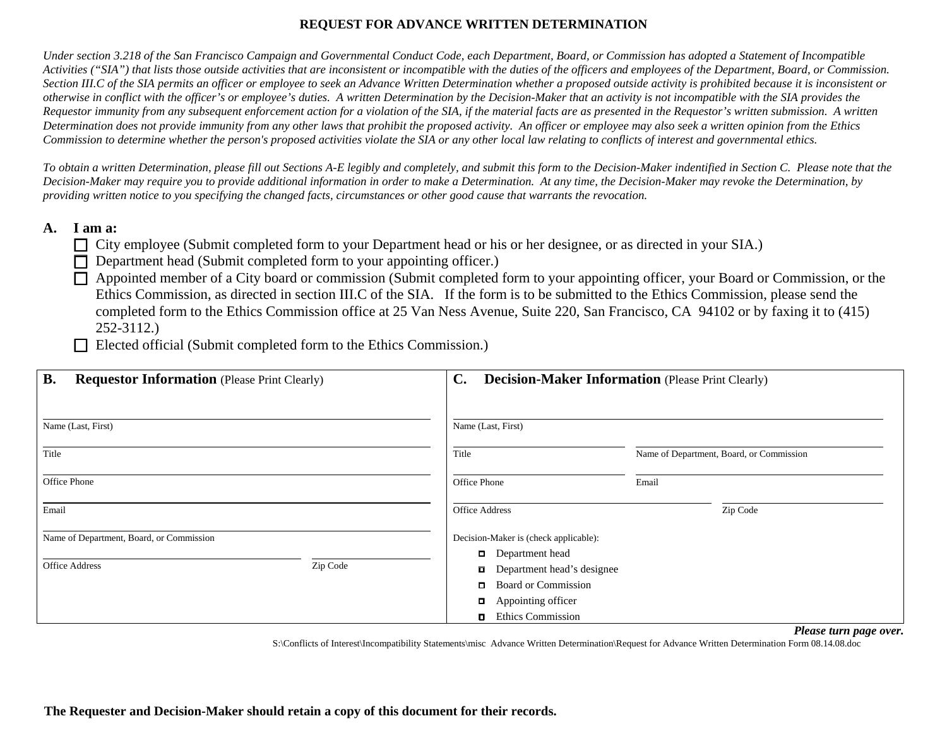## **REQUEST FOR ADVANCE WRITTEN DETERMINATION**

*Under section 3.218 of the San Francisco Campaign and Governmental Conduct Code, each Department, Board, or Commission has adopted a Statement of Incompatible Activities ("SIA") that lists those outside activities that are inconsistent or incompatible with the duties of the officers and employees of the Department, Board, or Commission. Section III.C of the SIA permits an officer or employee to seek an Advance Written Determination whether a proposed outside activity is prohibited because it is inconsistent or otherwise in conflict with the officer's or employee's duties. A written Determination by the Decision-Maker that an activity is not incompatible with the SIA provides the Requestor immunity from any subsequent enforcement action for a violation of the SIA, if the material facts are as presented in the Requestor's written submission. A written Determination does not provide immunity from any other laws that prohibit the proposed activity. An officer or employee may also seek a written opinion from the Ethics Commission to determine whether the person's proposed activities violate the SIA or any other local law relating to conflicts of interest and governmental ethics.* 

*To obtain a written Determination, please fill out Sections A-E legibly and completely, and submit this form to the Decision-Maker indentified in Section C. Please note that the Decision-Maker may require you to provide additional information in order to make a Determination. At any time, the Decision-Maker may revoke the Determination, by providing written notice to you specifying the changed facts, circumstances or other good cause that warrants the revocation.* 

### **A. I am a:**

- □ City employee (Submit completed form to your Department head or his or her designee, or as directed in your SIA.)
- $\Box$  Department head (Submit completed form to your appointing officer.)

F Appointed member of a City board or commission (Submit completed form to your appointing officer, your Board or Commission, or the Ethics Commission, as directed in section III.C of the SIA. If the form is to be submitted to the Ethics Commission, please send the completed form to the Ethics Commission office at 25 Van Ness Avenue, Suite 220, San Francisco, CA 94102 or by faxing it to (415) 252-3112.)

Elected official (Submit completed form to the Ethics Commission.)

| <b>B.</b><br><b>Requestor Information (Please Print Clearly)</b>              | $\mathbf{C}$ .<br><b>Decision-Maker Information (Please Print Clearly)</b>                    |                                          |
|-------------------------------------------------------------------------------|-----------------------------------------------------------------------------------------------|------------------------------------------|
| Name (Last, First)                                                            | Name (Last, First)                                                                            |                                          |
| Title                                                                         | Title                                                                                         | Name of Department, Board, or Commission |
| Office Phone                                                                  | Office Phone                                                                                  | Email                                    |
| Email                                                                         | <b>Office Address</b>                                                                         | Zip Code                                 |
| Name of Department, Board, or Commission<br><b>Office Address</b><br>Zip Code | Decision-Maker is (check applicable):<br>Department head<br><b>Department head's designee</b> |                                          |
|                                                                               | <b>Board or Commission</b><br>О.<br>Appointing officer<br><b>Ethics Commission</b>            |                                          |

*Please turn page over.* 

S:\Conflicts of Interest\Incompatibility Statements\misc Advance Written Determination\Request for Advance Written Determination Form 08.14.08.doc